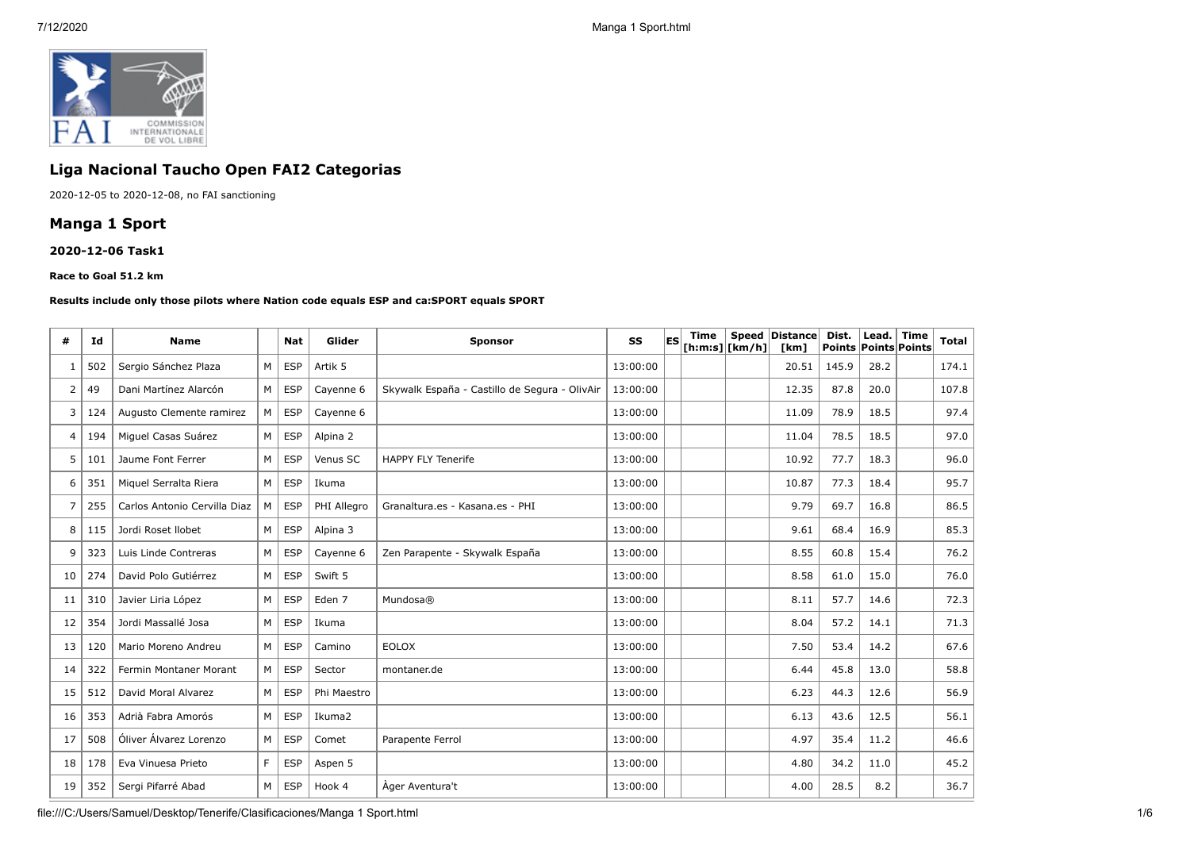

## **Liga Nacional Taucho Open FAI2 Categorias**

2020-12-05 to 2020-12-08, no FAI sanctioning

## **Manga 1 Sport**

#### **2020-12-06 Task1**

#### **Race to Goal 51.2 km**

#### **Results include only those pilots where Nation code equals ESP and ca:SPORT equals SPORT**

| #  | Id  | <b>Name</b>                  |   | Nat        | Glider            | <b>Sponsor</b>                                | <b>SS</b> | lesi | Time | [ h: m: s]   [ km/h] | Speed Distance<br>[km] | Dist.<br><b>Points Points Points</b> | Lead. | <b>Time</b> | <b>Total</b> |
|----|-----|------------------------------|---|------------|-------------------|-----------------------------------------------|-----------|------|------|----------------------|------------------------|--------------------------------------|-------|-------------|--------------|
|    | 502 | Sergio Sánchez Plaza         | M | <b>ESP</b> | Artik 5           |                                               | 13:00:00  |      |      |                      | 20.51                  | 145.9                                | 28.2  |             | 174.1        |
| 2  | 49  | Dani Martínez Alarcón        | M | <b>ESP</b> | Cayenne 6         | Skywalk España - Castillo de Segura - OlivAir | 13:00:00  |      |      |                      | 12.35                  | 87.8                                 | 20.0  |             | 107.8        |
| 3  | 124 | Augusto Clemente ramirez     | M | <b>ESP</b> | Cayenne 6         |                                               | 13:00:00  |      |      |                      | 11.09                  | 78.9                                 | 18.5  |             | 97.4         |
| 4  | 194 | Miquel Casas Suárez          | M | <b>ESP</b> | Alpina 2          |                                               | 13:00:00  |      |      |                      | 11.04                  | 78.5                                 | 18.5  |             | 97.0         |
| 5  | 101 | Jaume Font Ferrer            | M | <b>ESP</b> | Venus SC          | <b>HAPPY FLY Tenerife</b>                     | 13:00:00  |      |      |                      | 10.92                  | 77.7                                 | 18.3  |             | 96.0         |
| 6  | 351 | Miguel Serralta Riera        | M | <b>ESP</b> | Ikuma             |                                               | 13:00:00  |      |      |                      | 10.87                  | 77.3                                 | 18.4  |             | 95.7         |
|    | 255 | Carlos Antonio Cervilla Diaz | M | <b>ESP</b> | PHI Allegro       | Granaltura.es - Kasana.es - PHI               | 13:00:00  |      |      |                      | 9.79                   | 69.7                                 | 16.8  |             | 86.5         |
| 8  | 115 | Jordi Roset Ilobet           | M | <b>ESP</b> | Alpina 3          |                                               | 13:00:00  |      |      |                      | 9.61                   | 68.4                                 | 16.9  |             | 85.3         |
| 9  | 323 | Luis Linde Contreras         | M | <b>ESP</b> | Cayenne 6         | Zen Parapente - Skywalk España                | 13:00:00  |      |      |                      | 8.55                   | 60.8                                 | 15.4  |             | 76.2         |
| 10 | 274 | David Polo Gutiérrez         | M | <b>ESP</b> | Swift 5           |                                               | 13:00:00  |      |      |                      | 8.58                   | 61.0                                 | 15.0  |             | 76.0         |
| 11 | 310 | Javier Liria López           | M | <b>ESP</b> | Eden <sub>7</sub> | Mundosa®                                      | 13:00:00  |      |      |                      | 8.11                   | 57.7                                 | 14.6  |             | 72.3         |
| 12 | 354 | Jordi Massallé Josa          | M | <b>ESP</b> | Ikuma             |                                               | 13:00:00  |      |      |                      | 8.04                   | 57.2                                 | 14.1  |             | 71.3         |
| 13 | 120 | Mario Moreno Andreu          | M | <b>ESP</b> | Camino            | <b>EOLOX</b>                                  | 13:00:00  |      |      |                      | 7.50                   | 53.4                                 | 14.2  |             | 67.6         |
| 14 | 322 | Fermin Montaner Morant       | M | <b>ESP</b> | Sector            | montaner.de                                   | 13:00:00  |      |      |                      | 6.44                   | 45.8                                 | 13.0  |             | 58.8         |
| 15 | 512 | David Moral Alvarez          | M | <b>ESP</b> | Phi Maestro       |                                               | 13:00:00  |      |      |                      | 6.23                   | 44.3                                 | 12.6  |             | 56.9         |
| 16 | 353 | Adrià Fabra Amorós           | M | <b>ESP</b> | Ikuma2            |                                               | 13:00:00  |      |      |                      | 6.13                   | 43.6                                 | 12.5  |             | 56.1         |
| 17 | 508 | Óliver Álvarez Lorenzo       | M | <b>ESP</b> | Comet             | Parapente Ferrol                              | 13:00:00  |      |      |                      | 4.97                   | 35.4                                 | 11.2  |             | 46.6         |
| 18 | 178 | Eva Vinuesa Prieto           | F | <b>ESP</b> | Aspen 5           |                                               | 13:00:00  |      |      |                      | 4.80                   | 34.2                                 | 11.0  |             | 45.2         |
| 19 | 352 | Sergi Pifarré Abad           | M | <b>ESP</b> | Hook 4            | Ager Aventura't                               | 13:00:00  |      |      |                      | 4.00                   | 28.5                                 | 8.2   |             | 36.7         |

file:///C:/Users/Samuel/Desktop/Tenerife/Clasificaciones/Manga 1 Sport.html 1/6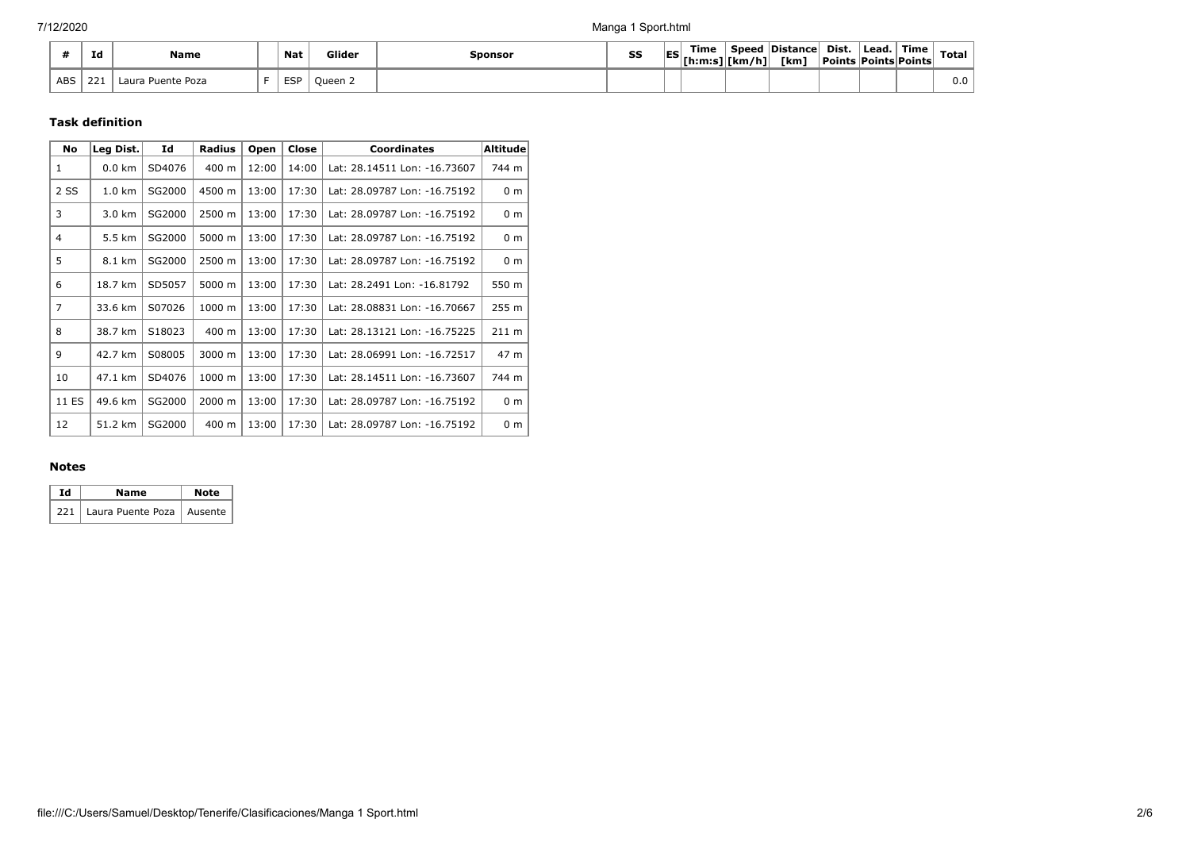|            | 7 J<br>1a  | <b>Name</b>          | <b>Nat</b> | Glider  | Sponsor | SS | <b>IES</b> | Time<br>.[h:m:s] [km/h] | Speed<br>.<br>. . | <b>Distance</b><br><b>Tkm</b> | Dist.<br>  Points   Points   Points | ` Lead. | ้ Time | <b>Total</b> |
|------------|------------|----------------------|------------|---------|---------|----|------------|-------------------------|-------------------|-------------------------------|-------------------------------------|---------|--------|--------------|
| <b>ABS</b> | 221<br>ZZ. | Puente Poza<br>∟aura | <b>ESP</b> | Oueen 2 |         |    |            |                         |                   |                               |                                     |         |        | v.u          |

### **Task definition**

| <b>No</b>      | Leg Dist. | Id     | <b>Radius</b> | Open  | Close | <b>Coordinates</b>           | Altitude        |
|----------------|-----------|--------|---------------|-------|-------|------------------------------|-----------------|
| $\mathbf{1}$   | $0.0$ km  | SD4076 | 400 m         | 12:00 | 14:00 | Lat: 28.14511 Lon: -16.73607 | 744 m           |
| 2 SS           | 1.0 km    | SG2000 | 4500 m        | 13:00 | 17:30 | Lat: 28.09787 Lon: -16.75192 | 0 <sub>m</sub>  |
| 3              | 3.0 km    | SG2000 | 2500 m        | 13:00 | 17:30 | Lat: 28.09787 Lon: -16.75192 | 0 <sub>m</sub>  |
| 4              | 5.5 km    | SG2000 | 5000 m        | 13:00 | 17:30 | Lat: 28.09787 Lon: -16.75192 | 0 <sub>m</sub>  |
| 5              | 8.1 km    | SG2000 | 2500 m        | 13:00 | 17:30 | Lat: 28.09787 Lon: -16.75192 | 0 <sub>m</sub>  |
| 6              | 18.7 km   | SD5057 | 5000 m        | 13:00 | 17:30 | Lat: 28.2491 Lon: -16.81792  | 550 m           |
| $\overline{7}$ | 33.6 km   | S07026 | 1000 m        | 13:00 | 17:30 | Lat: 28.08831 Lon: -16.70667 | 255 m           |
| 8              | 38.7 km   | S18023 | 400 m         | 13:00 | 17:30 | Lat: 28.13121 Lon: -16.75225 | $211 \text{ m}$ |
| 9              | 42.7 km   | S08005 | 3000 m        | 13:00 | 17:30 | Lat: 28.06991 Lon: -16.72517 | 47 m            |
| 10             | 47.1 km   | SD4076 | 1000 m        | 13:00 | 17:30 | Lat: 28.14511 Lon: -16.73607 | 744 m           |
| 11 ES          | 49.6 km   | SG2000 | 2000 m        | 13:00 | 17:30 | Lat: 28.09787 Lon: -16.75192 | 0 <sub>m</sub>  |
| 12             | 51.2 km   | SG2000 | 400 m         | 13:00 | 17:30 | Lat: 28.09787 Lon: -16.75192 | 0 <sub>m</sub>  |

#### **Notes**

| Td | Name                              | Note |
|----|-----------------------------------|------|
|    | 221   Laura Puente Poza   Ausente |      |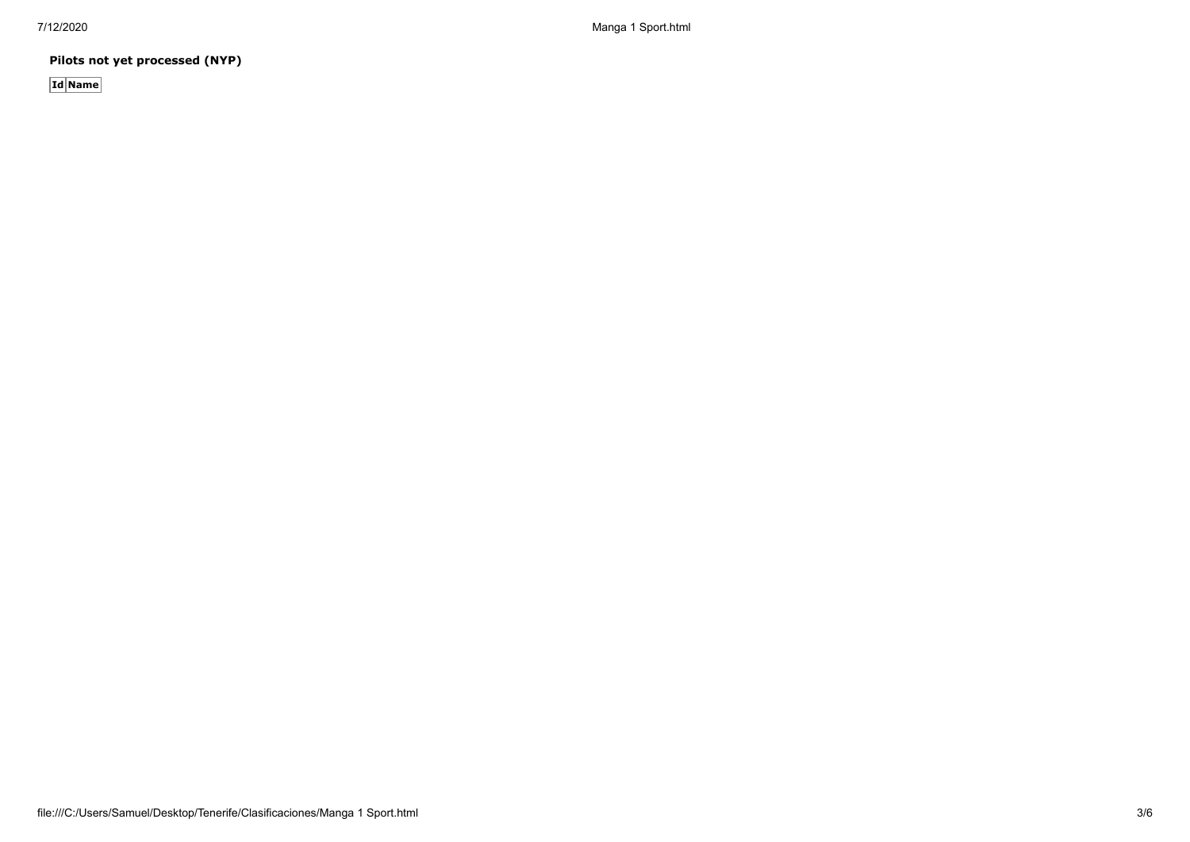**Pilots not yet processed (NYP)**

**Id Name**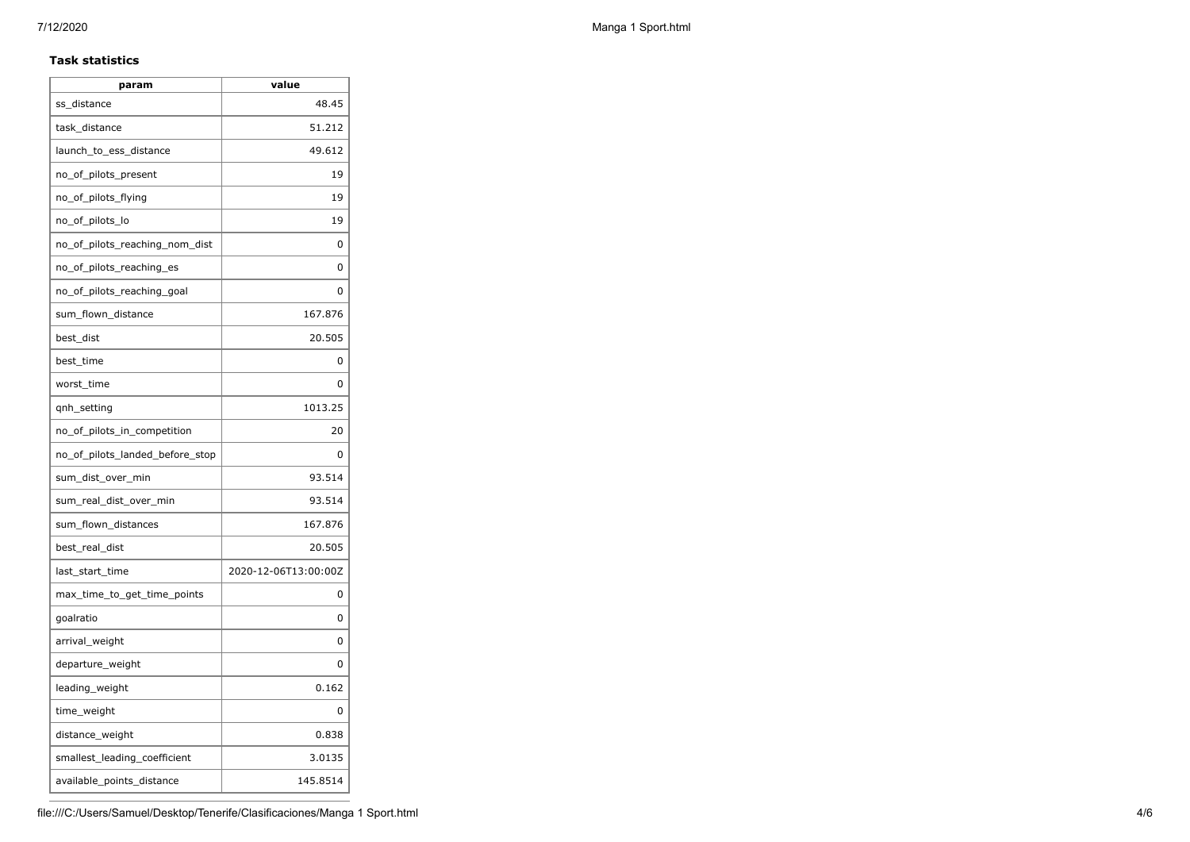### **Task statistics**

| param                           | value                |
|---------------------------------|----------------------|
| ss distance                     | 48.45                |
| task distance                   | 51.212               |
| launch_to_ess_distance          | 49.612               |
| no_of_pilots_present            | 19                   |
| no_of_pilots_flying             | 19                   |
| no_of_pilots_lo                 | 19                   |
| no of pilots reaching nom dist  | 0                    |
| no_of_pilots_reaching_es        | 0                    |
| no_of_pilots_reaching_goal      | 0                    |
| sum_flown_distance              | 167.876              |
| best_dist                       | 20.505               |
| best_time                       | 0                    |
| worst_time                      | 0                    |
| qnh_setting                     | 1013.25              |
| no_of_pilots_in_competition     | 20                   |
| no of pilots landed before stop | 0                    |
| sum_dist_over_min               | 93.514               |
| sum_real_dist_over_min          | 93.514               |
| sum_flown_distances             | 167.876              |
| best_real_dist                  | 20.505               |
| last_start_time                 | 2020-12-06T13:00:00Z |
| max_time_to_get_time_points     | 0                    |
| goalratio                       | 0                    |
| arrival_weight                  | 0                    |
| departure_weight                | 0                    |
| leading_weight                  | 0.162                |
| time_weight                     | 0                    |
| distance_weight                 | 0.838                |
| smallest_leading_coefficient    | 3.0135               |
| available_points_distance       | 145.8514             |
|                                 |                      |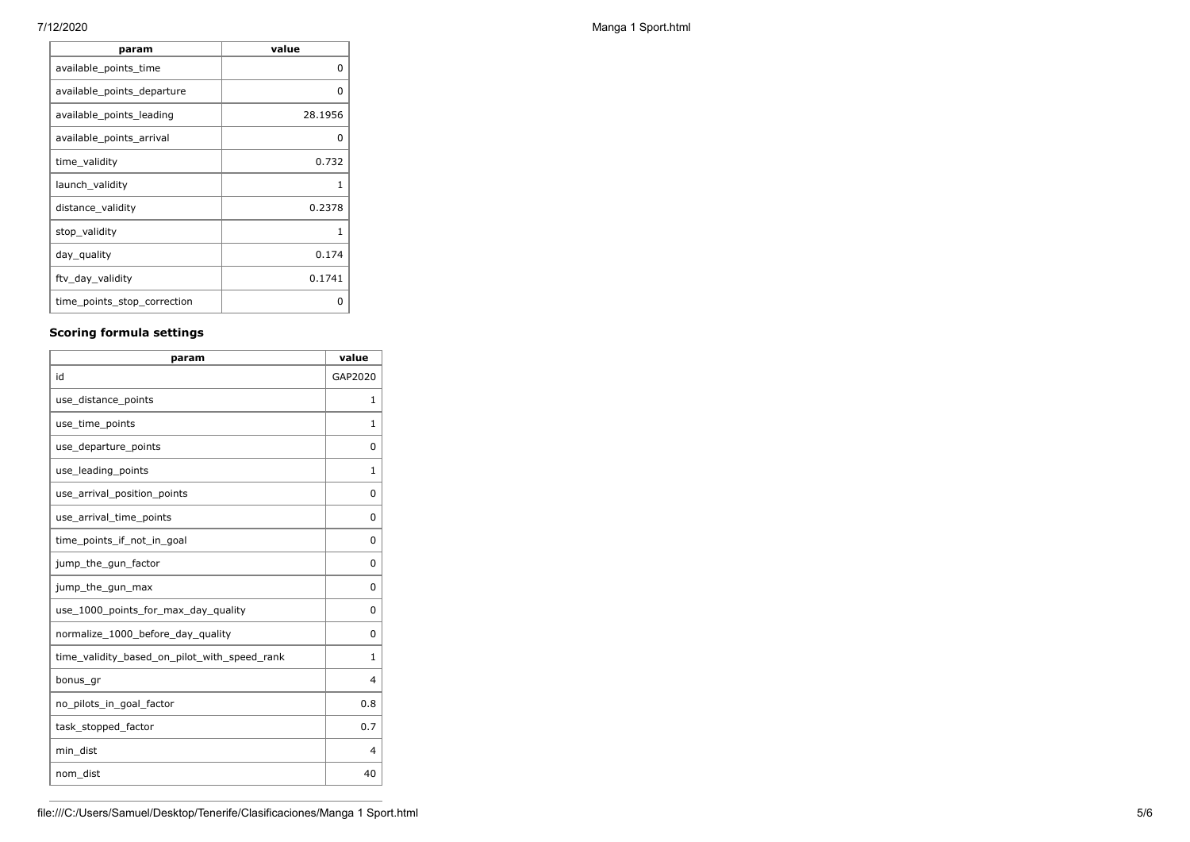**F** 

| param                       | value   |
|-----------------------------|---------|
| available_points_time       | 0       |
| available_points_departure  | ŋ       |
| available_points_leading    | 28.1956 |
| available_points_arrival    | 0       |
| time_validity               | 0.732   |
| launch_validity             | 1       |
| distance_validity           | 0.2378  |
| stop_validity               | 1       |
| day_quality                 | 0.174   |
| ftv_day_validity            | 0.1741  |
| time_points_stop_correction | ŋ       |

## **Scoring formula settings**

| param                                        | value        |
|----------------------------------------------|--------------|
| id                                           | GAP2020      |
| use_distance_points                          | 1            |
| use_time_points                              | 1            |
| use_departure_points                         | $\Omega$     |
| use_leading_points                           | $\mathbf{1}$ |
| use_arrival_position_points                  | $\Omega$     |
| use_arrival_time_points                      | $\Omega$     |
| time points if not in goal                   | $\Omega$     |
| jump_the_gun_factor                          | $\Omega$     |
| jump_the_gun_max                             | $\Omega$     |
| use_1000_points_for_max_day_quality          | $\Omega$     |
| normalize_1000_before_day_quality            | $\Omega$     |
| time_validity_based_on_pilot_with_speed_rank | 1            |
| bonus_gr                                     | 4            |
| no_pilots_in_goal_factor                     | 0.8          |
| task_stopped_factor                          | 0.7          |
| min dist                                     | 4            |
| nom_dist                                     | 40           |